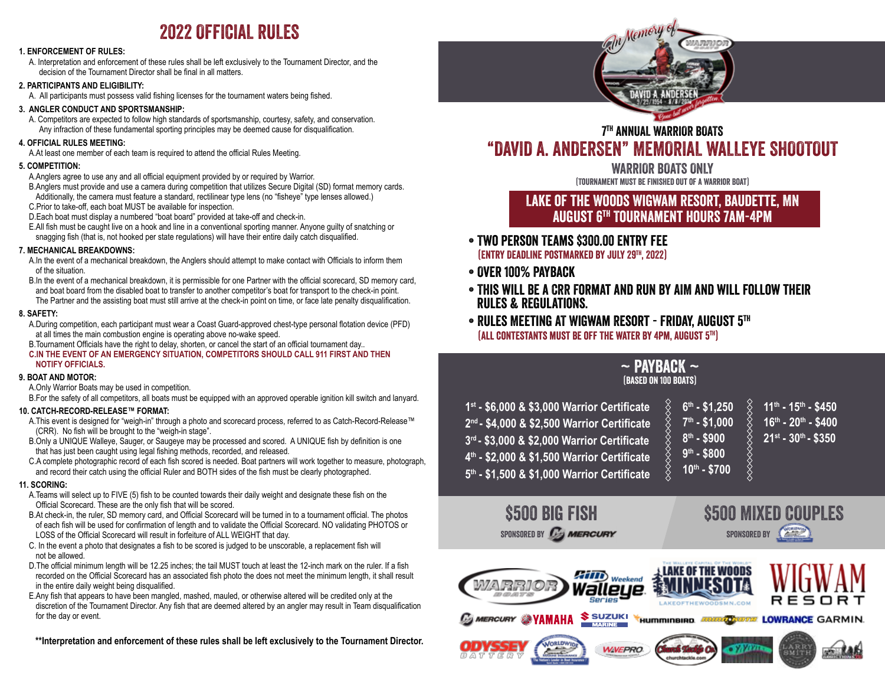# 2022 OFFICIAL RULES

#### **1. ENFORCEMENT OF RULES:**

A. Interpretation and enforcement of these rules shall be left exclusively to the Tournament Director, and the decision of the Tournament Director shall be final in all matters.

#### **2. PARTICIPANTS AND ELIGIBILITY:**

 A. All participants must possess valid fishing licenses for the tournament waters being fished.

#### **3. ANGLER CONDUCT AND SPORTSMANSHIP:**

 A. Competitors are expected to follow high standards of sportsmanship, courtesy, safety, and conservation. Any infraction of these fundamental sporting principles may be deemed cause for disqualification.

#### **4. OFFICIAL RULES MEETING:**

 A.At least one member of each team is required to attend the official Rules Meeting.

#### **5. COMPETITION:**

A. Anglers agree to use any and all official equipment provided by or required by Warrior.

 B.Anglers must provide and use a camera during competition that utilizes Secure Digital (SD) format memory cards. Additionally, the camera must feature a standard, rectilinear type lens (no "fisheye" type lenses allowed.) C.Prior to take-off, each boat MUST be available for inspection.

 D.Each boat must display a numbered "boat board" provided at take-off and check-in.

 E.All fish must be caught live on a hook and line in a conventional sporting manner. Anyone guilty of snatching or snagging fish (that is, not hooked per state regulations) will have their entire daily catch disqualified.

#### **7. MECHANICAL BREAKDOWNS:**

- A.In the event of a mechanical breakdown, the Anglers should attempt to make contact with Officials to inform them of the situation.
- B.In the event of a mechanical breakdown, it is permissible for one Partner with the official scorecard, SD memory card, and boat board from the disabled boat to transfer to another competitor's boat for transport to the check-in point. The Partner and the assisting boat must still arrive at the check-in point on time, or face late penalty disqualification.

#### **8. SAFETY:**

 A.During competition, each participant must wear a Coast Guard-approved chest-type personal flotation device (PFD) at all times the main combustion engine is operating above no-wake speed.

 B.Tournament Officials have the right to delay, shorten, or cancel the start of an official tournament day..

#### **C.IN THE EVENT OF AN EMERGENCY SITUATION, COMPETITORS SHOULD CALL 911 FIRST AND THEN NOTIFY OFFICIALS.**

#### **9. BOAT AND MOTOR:**

 A.Only Warrior Boats may be used in competition.

 B.For the safety of all competitors, all boats must be equipped with an approved operable ignition kill switch and lanyard.

#### **10. CATCH-RECORD-RELEASE™ FORMAT:**

- A.This event is designed for "weigh-in" through a photo and scorecard process, referred to as Catch-Record-Release™ (CRR). No fish will be brought to the "weigh-in stage".
- B.Only a UNIQUE Walleye, Sauger, or Saugeye may be processed and scored. A UNIQUE fish by definition is one that has just been caught using legal fishing methods, recorded, and released.
- C.A complete photographic record of each fish scored is needed. Boat partners will work together to measure, photograph, and record their catch using the official Ruler and BOTH sides of the fish must be clearly photographed.

#### **11. SCORING:**

- A.Teams will select up to FIVE (5) fish to be counted towards their daily weight and designate these fish on the Official Scorecard. These are the only fish that will be scored.
- B.At check-in, the ruler, SD memory card, and Official Scorecard will be turned in to a tournament official. The photos of each fish will be used for confirmation of length and to validate the Official Scorecard. NO validating PHOTOS or LOSS of the Official Scorecard will result in forfeiture of ALL WEIGHT that day.
- C. In the event a photo that designates a fish to be scored is judged to be unscorable, a replacement fish will not be allowed.
- D.The official minimum length will be 12.25 inches; the tail MUST touch at least the 12-inch mark on the ruler. If a fish recorded on the Official Scorecard has an associated fish photo the does not meet the minimum length, it shall result in the entire daily weight being disqualified.
- E.Any fish that appears to have been mangled, mashed, mauled, or otherwise altered will be credited only at the discretion of the Tournament Director. Any fish that are deemed altered by an angler may result in Team disqualification for the day or event.

**\*\*Interpretation and enforcement of these rules shall be left exclusively to the Tournament Director.**



## 7th ANNUAL WARRIOR BOATS "DAVID A. ANDERSEN" MEMORIAL WALLEYE SHOOTOUT

WARRIOR BOATS ONLY (Tournament must be finished out of a Warrior Boat)

## Lake of the Woods Wigwam resort, baudette, MN August 6th Tournament hours 7am-4pm

- Two person Teams \$300.00 Entry fee (Entry DeadLine Postmarked by JULY 29TH, 2022)
- Over 100% Payback
- This will be a CRR Format and run by AIM and will follow their rules & regulations.
- Rules Meeting AT Wigwam Resort Friday, August 5th (All contestants must be off the water by 4pm, August 5th)

### $\sim$  Payback  $\sim$ (Based on 100 boats)

| 1st - \$6,000 & \$3,000 Warrior Certificate<br>2 <sup>nd</sup> - \$4,000 & \$2,500 Warrior Certificate<br>3rd - \$3,000 & \$2,000 Warrior Certificate<br>4th - \$2,000 & \$1,500 Warrior Certificate | $6th - $1.250$<br>$7th - $1.000$<br>$8th - $900$<br>$9th - $800$ | $11^{th}$ - $15^{th}$ - \$450<br>$16^{\text{th}}$ - 20 <sup>th</sup> - \$400<br>$21^{st}$ - $30^{th}$ - \$350 |
|------------------------------------------------------------------------------------------------------------------------------------------------------------------------------------------------------|------------------------------------------------------------------|---------------------------------------------------------------------------------------------------------------|
| 5th - \$1,500 & \$1,000 Warrior Certificate                                                                                                                                                          | $10^{th} - $700$                                                 |                                                                                                               |

 $SPONSORED BY$   $\overrightarrow{C_{2}}$   $MERCURY$  SPONSORED BY